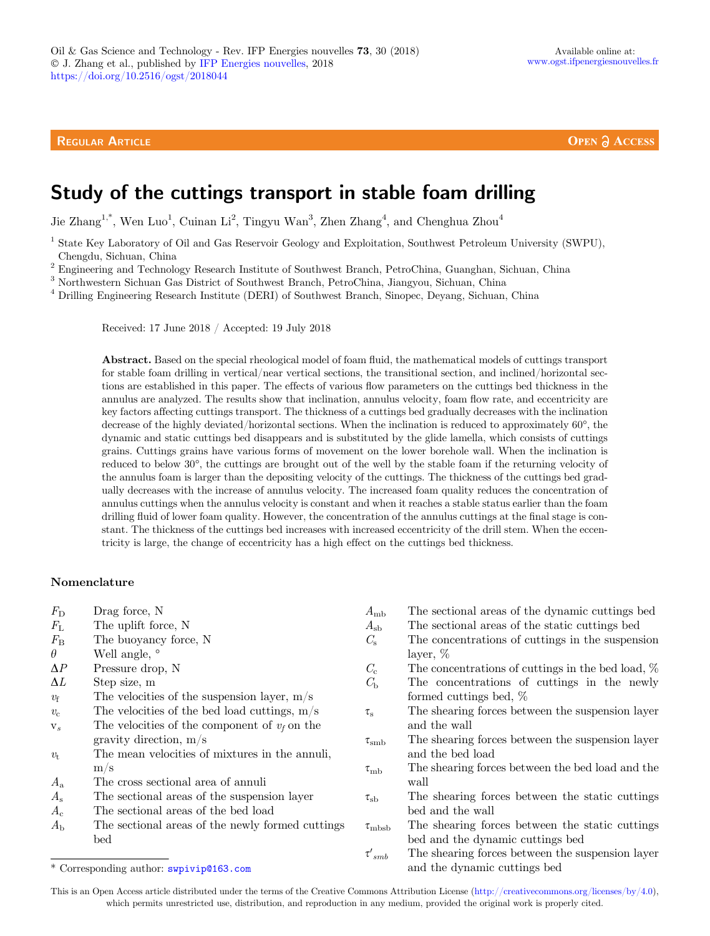**OPEN A ACCESS** 

# Study of the cuttings transport in stable foam drilling

Jie Zhang<sup>1,\*</sup>, Wen Luo<sup>1</sup>, Cuinan Li<sup>2</sup>, Tingyu Wan<sup>3</sup>, Zhen Zhang<sup>4</sup>, and Chenghua Zhou<sup>4</sup>

<sup>1</sup> State Key Laboratory of Oil and Gas Reservoir Geology and Exploitation, Southwest Petroleum University (SWPU), Chengdu, Sichuan, China

<sup>2</sup> Engineering and Technology Research Institute of Southwest Branch, PetroChina, Guanghan, Sichuan, China

<sup>3</sup> Northwestern Sichuan Gas District of Southwest Branch, PetroChina, Jiangyou, Sichuan, China

<sup>4</sup> Drilling Engineering Research Institute (DERI) of Southwest Branch, Sinopec, Deyang, Sichuan, China

Received: 17 June 2018 / Accepted: 19 July 2018

Abstract. Based on the special rheological model of foam fluid, the mathematical models of cuttings transport for stable foam drilling in vertical/near vertical sections, the transitional section, and inclined/horizontal sections are established in this paper. The effects of various flow parameters on the cuttings bed thickness in the annulus are analyzed. The results show that inclination, annulus velocity, foam flow rate, and eccentricity are key factors affecting cuttings transport. The thickness of a cuttings bed gradually decreases with the inclination decrease of the highly deviated/horizontal sections. When the inclination is reduced to approximately  $60^{\circ}$ , the dynamic and static cuttings bed disappears and is substituted by the glide lamella, which consists of cuttings grains. Cuttings grains have various forms of movement on the lower borehole wall. When the inclination is reduced to below 30<sup>o</sup>, the cuttings are brought out of the well by the stable foam if the returning velocity of the annulus foam is larger than the depositing velocity of the cuttings. The thickness of the cuttings bed gradually decreases with the increase of annulus velocity. The increased foam quality reduces the concentration of annulus cuttings when the annulus velocity is constant and when it reaches a stable status earlier than the foam drilling fluid of lower foam quality. However, the concentration of the annulus cuttings at the final stage is constant. The thickness of the cuttings bed increases with increased eccentricity of the drill stem. When the eccentricity is large, the change of eccentricity has a high effect on the cuttings bed thickness.

#### Nomenclature

- $F_{\rm D}$  Drag force, N
- $F_{\text{L}}$  The uplift force, N
- $F_{\rm B}$  The buoyancy force, N<br>  $\theta$  Well angle.  $\degree$
- $\theta$  Well angle,  $\circ$
- $\Delta P$  Pressure drop, N
- $\Delta L$  Step size, m
- $v_f$  The velocities of the suspension layer, m/s
- $v_c$  The velocities of the bed load cuttings, m/s
- $v_s$  The velocities of the component of  $v_f$  on the gravity direction, m/s
- $v_t$  The mean velocities of mixtures in the annuli, m/s
- $A_{a}$  The cross sectional area of annuli
- A<sup>s</sup> The sectional areas of the suspension layer
- $A_c$  The sectional areas of the bed load
- $A_{\rm b}$  The sectional areas of the newly formed cuttings bed

 $A_{\text{mb}}$  The sectional areas of the dynamic cuttings bed

- $A_{\rm sh}$  The sectional areas of the static cuttings bed
- $C<sub>s</sub>$  The concentrations of cuttings in the suspension layer, %
- $C_{\rm c}$  The concentrations of cuttings in the bed load,  $\%$
- $C_{\rm b}$  The concentrations of cuttings in the newly formed cuttings bed, %
- $\tau_{\rm s}$  The shearing forces between the suspension layer and the wall
- $\tau_{\rm smb}$  The shearing forces between the suspension layer and the bed load
- $\tau_{\mathrm{mb}}$  The shearing forces between the bed load and the wall
- $\tau_{sb}$  The shearing forces between the static cuttings bed and the wall
- $\tau_{\rm{mbsb}}$  The shearing forces between the static cuttings bed and the dynamic cuttings bed
- $\tau'_{\,smb}$ The shearing forces between the suspension layer \* Corresponding author: swpivip@163.com and the dynamic cuttings bed

This is an Open Access article distributed under the terms of the Creative Commons Attribution License [\(http://creativecommons.org/licenses/by/4.0\)](http://creativecommons.org/licenses/by/4.0/), which permits unrestricted use, distribution, and reproduction in any medium, provided the original work is properly cited.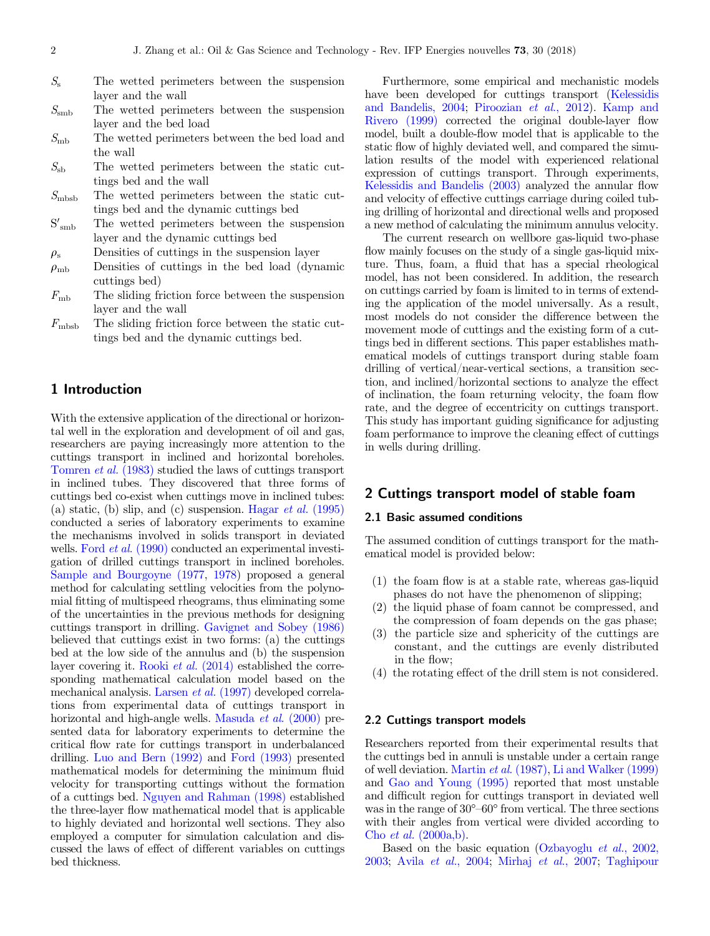- $S<sub>s</sub>$  The wetted perimeters between the suspension layer and the wall
- $S_{\rm smb}$  The wetted perimeters between the suspension layer and the bed load
- $S<sub>mb</sub>$  The wetted perimeters between the bed load and the wall
- $S_{\rm sb}$  The wetted perimeters between the static cuttings bed and the wall
- $S<sub>mbsb</sub>$  The wetted perimeters between the static cuttings bed and the dynamic cuttings bed
- $S'_{smb}$ The wetted perimeters between the suspension layer and the dynamic cuttings bed
- $\rho_{\rm s}$  Densities of cuttings in the suspension layer
- $\rho_{\rm mb}$  Densities of cuttings in the bed load (dynamic cuttings bed)
- $F<sub>mb</sub>$  The sliding friction force between the suspension layer and the wall
- $F_{\text{mbsb}}$  The sliding friction force between the static cuttings bed and the dynamic cuttings bed.

# 1 Introduction

With the extensive application of the directional or horizontal well in the exploration and development of oil and gas, researchers are paying increasingly more attention to the cuttings transport in inclined and horizontal boreholes. [Tomren](#page-6-0) et al. (1983) studied the laws of cuttings transport in inclined tubes. They discovered that three forms of cuttings bed co-exist when cuttings move in inclined tubes: (a) static, (b) slip, and (c) suspension. Hagar *et al.* [\(1995\)](#page-5-0) conducted a series of laboratory experiments to examine the mechanisms involved in solids transport in deviated wells. Ford *et al.* [\(1990\)](#page-5-0) conducted an experimental investigation of drilled cuttings transport in inclined boreholes. [Sample and Bourgoyne \(1977,](#page-6-0) [1978](#page-6-0)) proposed a general method for calculating settling velocities from the polynomial fitting of multispeed rheograms, thus eliminating some of the uncertainties in the previous methods for designing cuttings transport in drilling. [Gavignet and Sobey \(1986\)](#page-5-0) believed that cuttings exist in two forms: (a) the cuttings bed at the low side of the annulus and (b) the suspension layer covering it. Rooki et al. [\(2014\)](#page-6-0) established the corresponding mathematical calculation model based on the mechanical analysis. [Larsen](#page-6-0) et al. (1997) developed correlations from experimental data of cuttings transport in horizontal and high-angle wells. [Masuda](#page-6-0) *et al.* (2000) presented data for laboratory experiments to determine the critical flow rate for cuttings transport in underbalanced drilling. [Luo and Bern \(1992\)](#page-6-0) and [Ford \(1993\)](#page-5-0) presented mathematical models for determining the minimum fluid velocity for transporting cuttings without the formation of a cuttings bed. [Nguyen and Rahman \(1998\)](#page-6-0) established the three-layer flow mathematical model that is applicable to highly deviated and horizontal well sections. They also employed a computer for simulation calculation and discussed the laws of effect of different variables on cuttings bed thickness.

Furthermore, some empirical and mechanistic models have been developed for cuttings transport [\(Kelessidis](#page-6-0) [and Bandelis, 2004](#page-6-0); [Piroozian](#page-6-0) et al., 2012). [Kamp and](#page-5-0) [Rivero \(1999\)](#page-5-0) corrected the original double-layer flow model, built a double-flow model that is applicable to the static flow of highly deviated well, and compared the simulation results of the model with experienced relational expression of cuttings transport. Through experiments, [Kelessidis and Bandelis \(2003\)](#page-6-0) analyzed the annular flow and velocity of effective cuttings carriage during coiled tubing drilling of horizontal and directional wells and proposed a new method of calculating the minimum annulus velocity.

The current research on wellbore gas-liquid two-phase flow mainly focuses on the study of a single gas-liquid mixture. Thus, foam, a fluid that has a special rheological model, has not been considered. In addition, the research on cuttings carried by foam is limited to in terms of extending the application of the model universally. As a result, most models do not consider the difference between the movement mode of cuttings and the existing form of a cuttings bed in different sections. This paper establishes mathematical models of cuttings transport during stable foam drilling of vertical/near-vertical sections, a transition section, and inclined/horizontal sections to analyze the effect of inclination, the foam returning velocity, the foam flow rate, and the degree of eccentricity on cuttings transport. This study has important guiding significance for adjusting foam performance to improve the cleaning effect of cuttings in wells during drilling.

# 2 Cuttings transport model of stable foam

## 2.1 Basic assumed conditions

The assumed condition of cuttings transport for the mathematical model is provided below:

- (1) the foam flow is at a stable rate, whereas gas-liquid phases do not have the phenomenon of slipping;
- (2) the liquid phase of foam cannot be compressed, and the compression of foam depends on the gas phase;
- (3) the particle size and sphericity of the cuttings are constant, and the cuttings are evenly distributed in the flow;
- (4) the rotating effect of the drill stem is not considered.

#### 2.2 Cuttings transport models

Researchers reported from their experimental results that the cuttings bed in annuli is unstable under a certain range of well deviation. [Martin](#page-6-0) et al. (1987), [Li and Walker \(1999\)](#page-6-0) and [Gao and Young \(1995\)](#page-5-0) reported that most unstable and difficult region for cuttings transport in deviated well was in the range of  $30^{\circ}$ -60° from vertical. The three sections with their angles from vertical were divided according to Cho et al. [\(2000a,b\).](#page-5-0)

Based on the basic equation [\(Ozbayoglu](#page-6-0) et al., 2002, [2003;](#page-6-0) Avila et al.[, 2004](#page-5-0); [Mirhaj](#page-6-0) et al., 2007; [Taghipour](#page-6-0)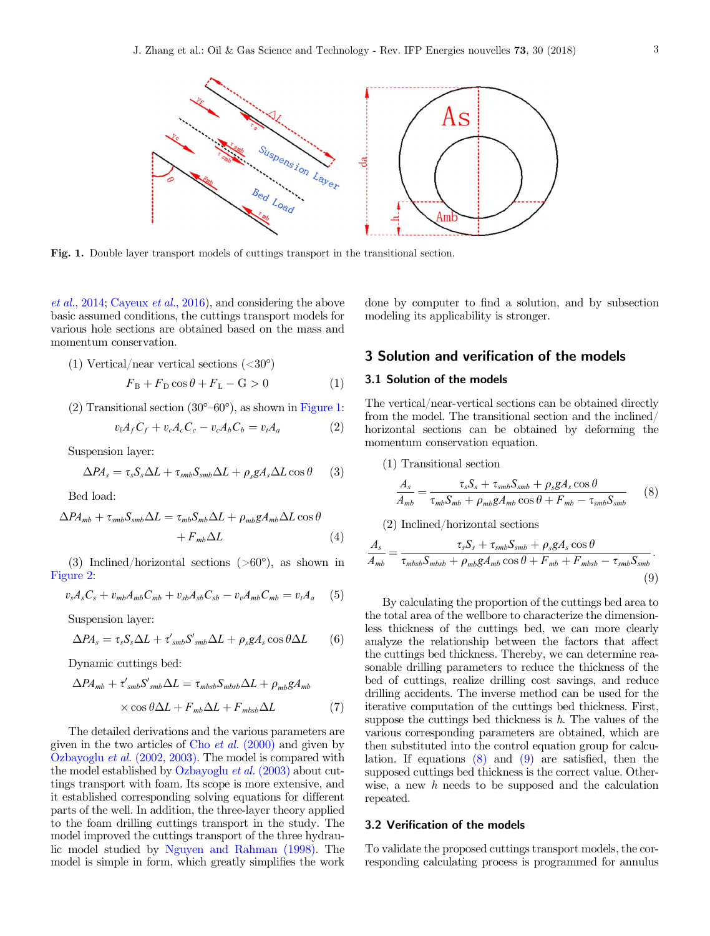

Fig. 1. Double layer transport models of cuttings transport in the transitional section.

et al.[, 2014;](#page-6-0) [Cayeux](#page-5-0) et al., 2016), and considering the above basic assumed conditions, the cuttings transport models for various hole sections are obtained based on the mass and momentum conservation.

(1) Vertical/near vertical sections 
$$
(<30^{\circ}
$$
)

$$
F_{\rm B} + F_{\rm D} \cos \theta + F_{\rm L} - \mathbf{G} > 0 \tag{1}
$$

 $(2)$  Transitional section  $(30^{\circ}-60^{\circ})$ , as shown in Figure 1:

$$
v_f A_f C_f + v_c A_c C_c - v_c A_b C_b = v_t A_a \tag{2}
$$

Suspension layer:

$$
\Delta P A_s = \tau_s S_s \Delta L + \tau_{smb} S_{smb} \Delta L + \rho_s g A_s \Delta L \cos \theta \qquad (3)
$$

Bed load:

$$
\Delta P A_{mb} + \tau_{smb} S_{smb} \Delta L = \tau_{mb} S_{mb} \Delta L + \rho_{mb} g A_{mb} \Delta L \cos \theta + F_{mb} \Delta L
$$
 (4)

(3) Inclined/horizontal sections  $(>60^{\circ})$ , as shown in [Figure 2:](#page-3-0)

$$
v_s A_s C_s + v_{mb} A_{mb} C_{mb} + v_{sb} A_{sb} C_{sb} - v_v A_{mb} C_{mb} = v_t A_a \quad (5)
$$

Suspension layer:

$$
\Delta P A_s = \tau_s S_s \Delta L + \tau'_{smb} S'_{smb} \Delta L + \rho_s g A_s \cos \theta \Delta L \qquad (6)
$$

Dynamic cuttings bed:

$$
\Delta P A_{mb} + \tau'_{smb} S'_{smb} \Delta L = \tau_{mbsb} S_{mbsb} \Delta L + \rho_{mb} g A_{mb}
$$

$$
\times \cos \theta \Delta L + F_{mb} \Delta L + F_{mbsb} \Delta L \tag{7}
$$

The detailed derivations and the various parameters are given in the two articles of Cho *et al.*  $(2000)$  and given by Ozbayoglu et al. [\(2002, 2003\).](#page-6-0) The model is compared with the model established by [Ozbayoglu](#page-6-0)  $et al. (2003)$  about cuttings transport with foam. Its scope is more extensive, and it established corresponding solving equations for different parts of the well. In addition, the three-layer theory applied to the foam drilling cuttings transport in the study. The model improved the cuttings transport of the three hydraulic model studied by [Nguyen and Rahman \(1998\).](#page-6-0) The model is simple in form, which greatly simplifies the work done by computer to find a solution, and by subsection modeling its applicability is stronger.

# 3 Solution and verification of the models

## 3.1 Solution of the models

The vertical/near-vertical sections can be obtained directly from the model. The transitional section and the inclined $/$ horizontal sections can be obtained by deforming the momentum conservation equation.

(1) Transitional section

$$
\frac{A_s}{A_{mb}} = \frac{\tau_s S_s + \tau_{smb} S_{smb} + \rho_s g A_s \cos \theta}{\tau_{mb} S_{mb} + \rho_{mb} g A_{mb} \cos \theta + F_{mb} - \tau_{smb} S_{smb}} \tag{8}
$$

(2) Inclined/horizontal sections

$$
\frac{A_s}{A_{mb}} = \frac{\tau_s S_s + \tau_{smb} S_{smb} + \rho_s g A_s \cos \theta}{\tau_{mbsb} S_{mbsb} + \rho_{mb} g A_{mb} \cos \theta + F_{mb} + F_{mbsb} - \tau_{smb} S_{smb}}.
$$
\n(9)

By calculating the proportion of the cuttings bed area to the total area of the wellbore to characterize the dimensionless thickness of the cuttings bed, we can more clearly analyze the relationship between the factors that affect the cuttings bed thickness. Thereby, we can determine reasonable drilling parameters to reduce the thickness of the bed of cuttings, realize drilling cost savings, and reduce drilling accidents. The inverse method can be used for the iterative computation of the cuttings bed thickness. First, suppose the cuttings bed thickness is  $h$ . The values of the various corresponding parameters are obtained, which are then substituted into the control equation group for calculation. If equations  $(8)$  and  $(9)$  are satisfied, then the supposed cuttings bed thickness is the correct value. Otherwise, a new h needs to be supposed and the calculation repeated.

## 3.2 Verification of the models

To validate the proposed cuttings transport models, the corresponding calculating process is programmed for annulus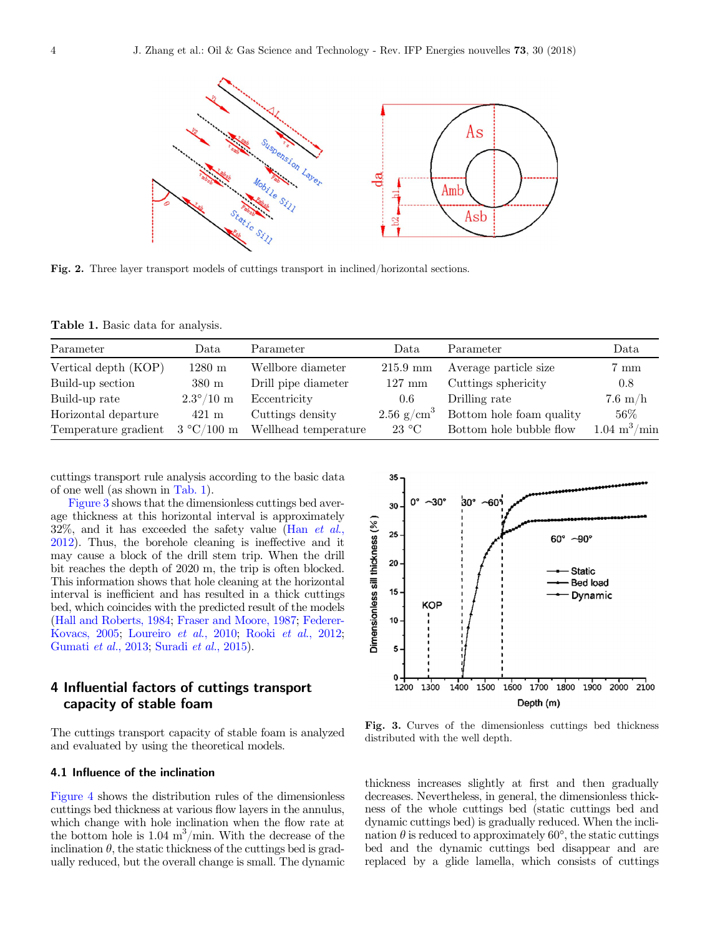<span id="page-3-0"></span>

Fig. 2. Three layer transport models of cuttings transport in inclined/horizontal sections.

Table 1. Basic data for analysis.

| Parameter            | Data                       | Parameter            | Data                     | Parameter                | Data                     |
|----------------------|----------------------------|----------------------|--------------------------|--------------------------|--------------------------|
| Vertical depth (KOP) | $1280 \text{ m}$           | Wellbore diameter    | $215.9 \text{ mm}$       | Average particle size    | $7 \text{ mm}$           |
| Build-up section     | $380 \text{ m}$            | Drill pipe diameter  | $127 \text{ mm}$         | Cuttings sphericity      | 0.8                      |
| Build-up rate        | $2.3^{\circ}/10 \text{ m}$ | Eccentricity         | $0.6\,$                  | Drilling rate            | $7.6 \text{ m/h}$        |
| Horizontal departure | $421 \text{ m}$            | Cuttings density     | $2.56$ g/cm <sup>3</sup> | Bottom hole foam quality | 56\%                     |
| Temperature gradient | $3 °C/100$ m               | Wellhead temperature | $23^{\circ}$ C           | Bottom hole bubble flow  | $1.04~{\rm m}^3/\rm min$ |

cuttings transport rule analysis according to the basic data of one well (as shown in Tab. 1).

Figure 3 shows that the dimensionless cuttings bed average thickness at this horizontal interval is approximately  $32\%$ , and it has exceeded the safety value (Han *[et al.](#page-5-0)*, [2012\)](#page-5-0). Thus, the borehole cleaning is ineffective and it may cause a block of the drill stem trip. When the drill bit reaches the depth of 2020 m, the trip is often blocked. This information shows that hole cleaning at the horizontal interval is inefficient and has resulted in a thick cuttings bed, which coincides with the predicted result of the models [\(Hall and Roberts, 1984](#page-5-0); [Fraser and Moore, 1987](#page-5-0); [Federer-](#page-5-0)[Kovacs, 2005](#page-5-0); [Loureiro](#page-6-0) et al., 2010; Rooki et al.[, 2012](#page-6-0); [Gumati](#page-5-0) et al., 2013; [Suradi](#page-6-0) et al., 2015).

# 4 Influential factors of cuttings transport capacity of stable foam

The cuttings transport capacity of stable foam is analyzed and evaluated by using the theoretical models.

#### 4.1 Influence of the inclination

[Figure 4](#page-4-0) shows the distribution rules of the dimensionless cuttings bed thickness at various flow layers in the annulus, which change with hole inclination when the flow rate at the bottom hole is 1.04  $\text{m}^3/\text{min}$ . With the decrease of the inclination  $\theta$ , the static thickness of the cuttings bed is gradually reduced, but the overall change is small. The dynamic



Fig. 3. Curves of the dimensionless cuttings bed thickness distributed with the well depth.

thickness increases slightly at first and then gradually decreases. Nevertheless, in general, the dimensionless thickness of the whole cuttings bed (static cuttings bed and dynamic cuttings bed) is gradually reduced. When the inclination  $\theta$  is reduced to approximately 60 $^{\circ}$ , the static cuttings bed and the dynamic cuttings bed disappear and are replaced by a glide lamella, which consists of cuttings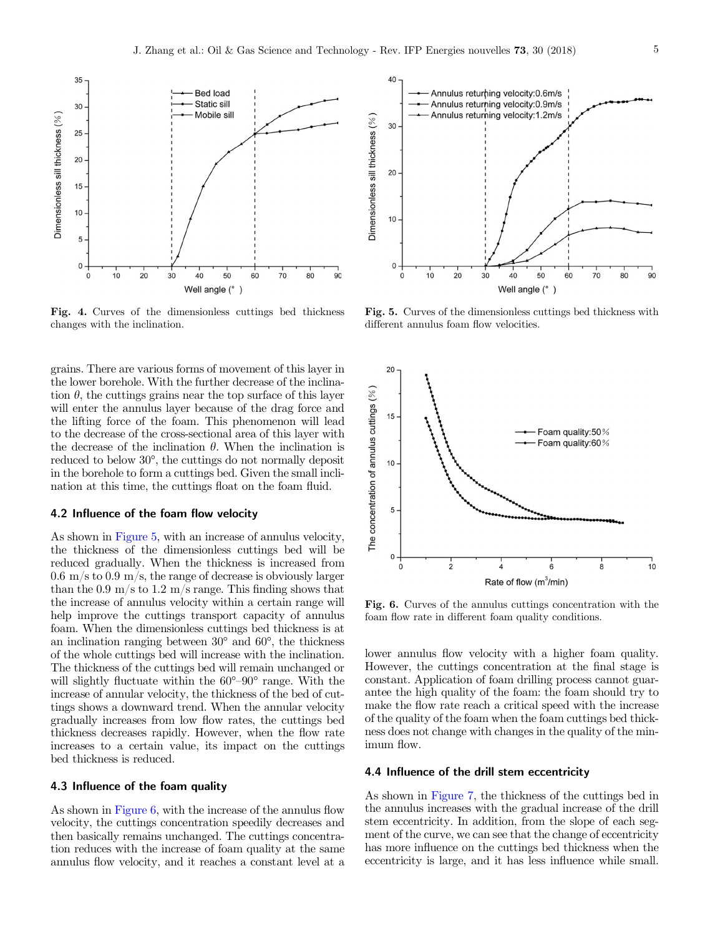<span id="page-4-0"></span>

Fig. 4. Curves of the dimensionless cuttings bed thickness changes with the inclination.

grains. There are various forms of movement of this layer in the lower borehole. With the further decrease of the inclination  $\theta$ , the cuttings grains near the top surface of this layer will enter the annulus layer because of the drag force and the lifting force of the foam. This phenomenon will lead to the decrease of the cross-sectional area of this layer with the decrease of the inclination  $\theta$ . When the inclination is reduced to below 30<sup>°</sup>, the cuttings do not normally deposit in the borehole to form a cuttings bed. Given the small inclination at this time, the cuttings float on the foam fluid.

#### 4.2 Influence of the foam flow velocity

As shown in Figure 5, with an increase of annulus velocity, the thickness of the dimensionless cuttings bed will be reduced gradually. When the thickness is increased from  $0.6 \text{ m/s}$  to  $0.9 \text{ m/s}$ , the range of decrease is obviously larger than the 0.9 m/s to 1.2 m/s range. This finding shows that the increase of annulus velocity within a certain range will help improve the cuttings transport capacity of annulus foam. When the dimensionless cuttings bed thickness is at an inclination ranging between  $30^{\circ}$  and  $60^{\circ}$ , the thickness of the whole cuttings bed will increase with the inclination. The thickness of the cuttings bed will remain unchanged or will slightly fluctuate within the  $60^{\circ}$ - $90^{\circ}$  range. With the increase of annular velocity, the thickness of the bed of cuttings shows a downward trend. When the annular velocity gradually increases from low flow rates, the cuttings bed thickness decreases rapidly. However, when the flow rate increases to a certain value, its impact on the cuttings bed thickness is reduced.

#### 4.3 Influence of the foam quality

As shown in Figure 6, with the increase of the annulus flow velocity, the cuttings concentration speedily decreases and then basically remains unchanged. The cuttings concentration reduces with the increase of foam quality at the same annulus flow velocity, and it reaches a constant level at a



Fig. 5. Curves of the dimensionless cuttings bed thickness with different annulus foam flow velocities.



Fig. 6. Curves of the annulus cuttings concentration with the foam flow rate in different foam quality conditions.

lower annulus flow velocity with a higher foam quality. However, the cuttings concentration at the final stage is constant. Application of foam drilling process cannot guarantee the high quality of the foam: the foam should try to make the flow rate reach a critical speed with the increase of the quality of the foam when the foam cuttings bed thickness does not change with changes in the quality of the minimum flow.

### 4.4 Influence of the drill stem eccentricity

As shown in [Figure 7](#page-5-0), the thickness of the cuttings bed in the annulus increases with the gradual increase of the drill stem eccentricity. In addition, from the slope of each segment of the curve, we can see that the change of eccentricity has more influence on the cuttings bed thickness when the eccentricity is large, and it has less influence while small.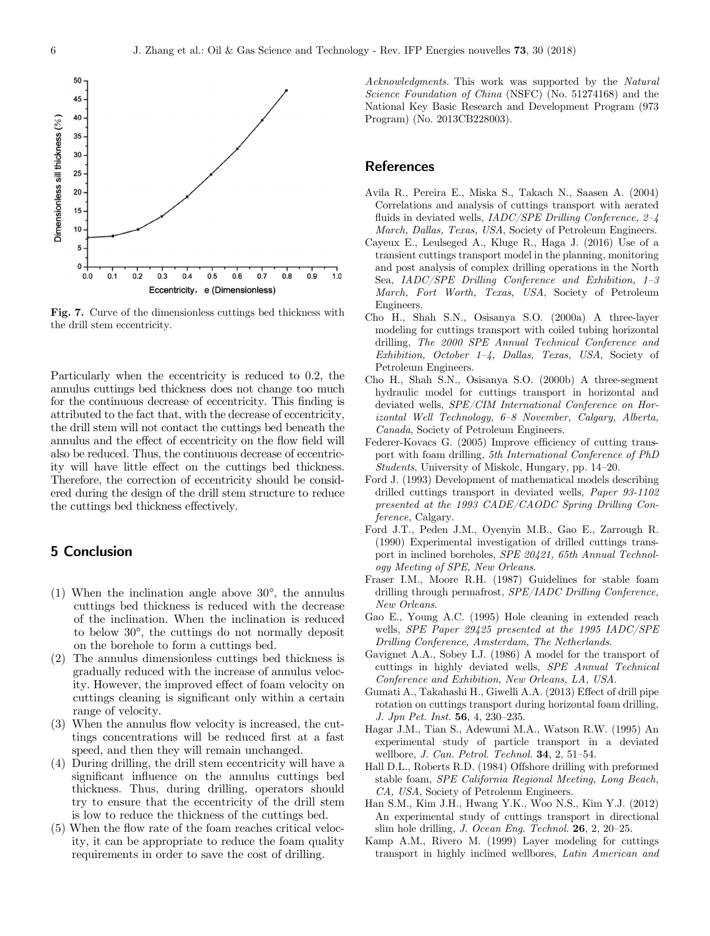<span id="page-5-0"></span>

Fig. 7. Curve of the dimensionless cuttings bed thickness with the drill stem eccentricity.

Particularly when the eccentricity is reduced to 0.2, the annulus cuttings bed thickness does not change too much for the continuous decrease of eccentricity. This finding is attributed to the fact that, with the decrease of eccentricity, the drill stem will not contact the cuttings bed beneath the annulus and the effect of eccentricity on the flow field will also be reduced. Thus, the continuous decrease of eccentricity will have little effect on the cuttings bed thickness. Therefore, the correction of eccentricity should be considered during the design of the drill stem structure to reduce the cuttings bed thickness effectively.

# 5 Conclusion

- $(1)$  When the inclination angle above  $30^{\circ}$ , the annulus cuttings bed thickness is reduced with the decrease of the inclination. When the inclination is reduced to below 30°, the cuttings do not normally deposit on the borehole to form a cuttings bed.
- (2) The annulus dimensionless cuttings bed thickness is gradually reduced with the increase of annulus velocity. However, the improved effect of foam velocity on cuttings cleaning is significant only within a certain range of velocity.
- (3) When the annulus flow velocity is increased, the cuttings concentrations will be reduced first at a fast speed, and then they will remain unchanged.
- (4) During drilling, the drill stem eccentricity will have a significant influence on the annulus cuttings bed thickness. Thus, during drilling, operators should try to ensure that the eccentricity of the drill stem is low to reduce the thickness of the cuttings bed.
- (5) When the flow rate of the foam reaches critical velocity, it can be appropriate to reduce the foam quality requirements in order to save the cost of drilling.

Acknowledgments. This work was supported by the Natural Science Foundation of China (NSFC) (No. 51274168) and the National Key Basic Research and Development Program (973 Program) (No. 2013CB228003).

## References

- Avila R., Pereira E., Miska S., Takach N., Saasen A. (2004) Correlations and analysis of cuttings transport with aerated fluids in deviated wells, *IADC/SPE Drilling Conference*, 2-4 March, Dallas, Texas, USA, Society of Petroleum Engineers.
- Cayeux E., Leulseged A., Kluge R., Haga J. (2016) Use of a transient cuttings transport model in the planning, monitoring and post analysis of complex drilling operations in the North Sea, IADC/SPE Drilling Conference and Exhibition, 1–3 March, Fort Worth, Texas, USA, Society of Petroleum Engineers.
- Cho H., Shah S.N., Osisanya S.O. (2000a) A three-layer modeling for cuttings transport with coiled tubing horizontal drilling, The 2000 SPE Annual Technical Conference and Exhibition, October 1–4, Dallas, Texas, USA, Society of Petroleum Engineers.
- Cho H., Shah S.N., Osisanya S.O. (2000b) A three-segment hydraulic model for cuttings transport in horizontal and deviated wells, SPE/CIM International Conference on Horizontal Well Technology, 6–8 November, Calgary, Alberta, Canada, Society of Petroleum Engineers.
- Federer-Kovacs G. (2005) Improve efficiency of cutting transport with foam drilling, 5th International Conference of PhD Students, University of Miskolc, Hungary, pp. 14–20.
- Ford J. (1993) Development of mathematical models describing drilled cuttings transport in deviated wells, Paper 93-1102 presented at the 1993 CADE/CAODC Spring Drilling Conference, Calgary.
- Ford J.T., Peden J.M., Oyenyin M.B., Gao E., Zarrough R. (1990) Experimental investigation of drilled cuttings transport in inclined boreholes, SPE 20421, 65th Annual Technology Meeting of SPE, New Orleans.
- Fraser I.M., Moore R.H. (1987) Guidelines for stable foam drilling through permafrost, SPE/IADC Drilling Conference, New Orleans.
- Gao E., Young A.C. (1995) Hole cleaning in extended reach wells, SPE Paper 29425 presented at the 1995 IADC/SPE Drilling Conference, Amsterdam, The Netherlands.
- Gavignet A.A., Sobey I.J. (1986) A model for the transport of cuttings in highly deviated wells, SPE Annual Technical Conference and Exhibition, New Orleans, LA, USA.
- Gumati A., Takahashi H., Giwelli A.A. (2013) Effect of drill pipe rotation on cuttings transport during horizontal foam drilling, J. Jpn Pet. Inst. 56, 4, 230–235.
- Hagar J.M., Tian S., Adewumi M.A., Watson R.W. (1995) An experimental study of particle transport in a deviated wellbore, J. Can. Petrol. Technol. **34**, 2, 51–54.
- Hall D.L., Roberts R.D. (1984) Offshore drilling with preformed stable foam, SPE California Regional Meeting, Long Beach, CA, USA, Society of Petroleum Engineers.
- Han S.M., Kim J.H., Hwang Y.K., Woo N.S., Kim Y.J. (2012) An experimental study of cuttings transport in directional slim hole drilling, J. Ocean Eng. Technol. 26, 2, 20–25.
- Kamp A.M., Rivero M. (1999) Layer modeling for cuttings transport in highly inclined wellbores, Latin American and